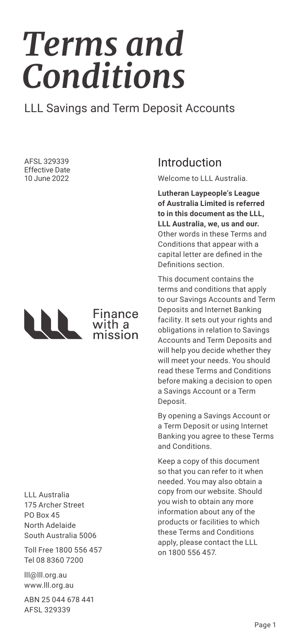# *Terms and Conditions*

### LLL Savings and Term Deposit Accounts

AFSL 329339 Effective Date 10 June 2022



# Finance<br>with a mission

LLL Australia 175 Archer Street PO Box 45 North Adelaide South Australia 5006

Toll Free 1800 556 457 Tel 08 8360 7200

lll@lll.org.au www.lll.org.au

ABN 25 044 678 441 AFSL 329339

# Introduction

Welcome to LLL Australia.

**Lutheran Laypeople's League of Australia Limited is referred to in this document as the LLL, LLL Australia, we, us and our.**  Other words in these Terms and Conditions that appear with a capital letter are defined in the Definitions section.

This document contains the terms and conditions that apply to our Savings Accounts and Term Deposits and Internet Banking facility. It sets out your rights and obligations in relation to Savings Accounts and Term Deposits and will help you decide whether they will meet your needs. You should read these Terms and Conditions before making a decision to open a Savings Account or a Term Deposit.

By opening a Savings Account or a Term Deposit or using Internet Banking you agree to these Terms and Conditions.

Keep a copy of this document so that you can refer to it when needed. You may also obtain a copy from our website. Should you wish to obtain any more information about any of the products or facilities to which these Terms and Conditions apply, please contact the LLL on 1800 556 457.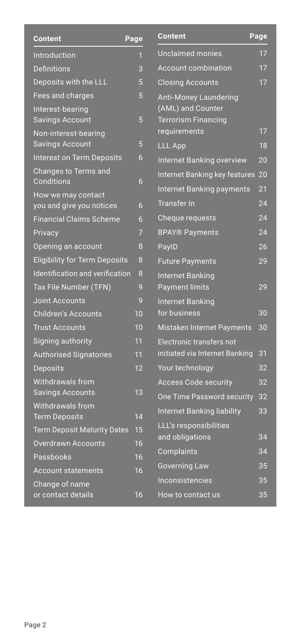| Content                                    | Page            | <b>Content</b>               |
|--------------------------------------------|-----------------|------------------------------|
| Introduction                               | 1               | Unclaim                      |
| <b>Definitions</b>                         | 3               | Account                      |
| Deposits with the LLL                      | 5               | Closing.                     |
| Fees and charges                           | 5               | Anti-Mo                      |
| Interest-bearing<br><b>Savings Account</b> | 5               | (AML) ar<br><b>Terrorisr</b> |
| Non-interest-bearing                       |                 | requiren                     |
| <b>Savings Account</b>                     | 5               | <b>LLL App</b>               |
| <b>Interest on Term Deposits</b>           | 6               | Internet                     |
| Changes to Terms and<br><b>Conditions</b>  | 6               | Internet                     |
| How we may contact                         |                 | Internet                     |
| you and give you notices                   | 6               | <b>Transfer</b>              |
| <b>Financial Claims Scheme</b>             | 6               | Cheque                       |
| Privacy                                    | $\overline{7}$  | <b>BPAY®F</b>                |
| Opening an account                         | 8               | PaylD                        |
| <b>Eligibility for Term Deposits</b>       | 8               | <b>Future P</b>              |
| Identification and verification            | 8               | Internet                     |
| Tax File Number (TFN)                      | 9               | Paymen                       |
| <b>Joint Accounts</b>                      | 9               | Internet                     |
| <b>Children's Accounts</b>                 | $\overline{10}$ | for busir                    |
| <b>Trust Accounts</b>                      | 10              | <b>Mistaker</b>              |
| Signing authority                          | 11              | Electroni                    |
| <b>Authorised Signatories</b>              | 11              | initiated                    |
| <b>Deposits</b>                            | 12              | Your tec                     |
| Withdrawals from                           |                 | Access <sup>(</sup>          |
| <b>Savings Accounts</b>                    | 13              | One Tim                      |
| Withdrawals from<br><b>Term Deposits</b>   | 14              | Internet                     |
| <b>Term Deposit Maturity Dates</b>         | 15              | LLL's res                    |
| <b>Overdrawn Accounts</b>                  | 16              | and oblig                    |
| Passbooks                                  | 16              | Complai                      |
| <b>Account statements</b>                  | 16              | Governir                     |
| Change of name                             |                 | Inconsis                     |
| or contact details                         | 16              | How to c                     |

| <b>Unclaimed monies</b><br>17<br><b>Account combination</b><br>17<br>17<br><b>Closing Accounts</b><br><b>Anti-Money Laundering</b><br>(AML) and Counter<br><b>Terrorism Financing</b><br>17<br>requirements<br><b>LLL App</b><br>18<br>20<br><b>Internet Banking overview</b><br>Internet Banking key features<br>20<br><b>Internet Banking payments</b><br>21<br><b>Transfer In</b><br>24<br>24<br>Cheque requests<br><b>BPAY® Payments</b><br>24<br>PaylD<br>26<br>29<br><b>Future Payments</b><br><b>Internet Banking</b><br><b>Payment limits</b><br>29 |
|-------------------------------------------------------------------------------------------------------------------------------------------------------------------------------------------------------------------------------------------------------------------------------------------------------------------------------------------------------------------------------------------------------------------------------------------------------------------------------------------------------------------------------------------------------------|
|                                                                                                                                                                                                                                                                                                                                                                                                                                                                                                                                                             |
|                                                                                                                                                                                                                                                                                                                                                                                                                                                                                                                                                             |
|                                                                                                                                                                                                                                                                                                                                                                                                                                                                                                                                                             |
|                                                                                                                                                                                                                                                                                                                                                                                                                                                                                                                                                             |
|                                                                                                                                                                                                                                                                                                                                                                                                                                                                                                                                                             |
|                                                                                                                                                                                                                                                                                                                                                                                                                                                                                                                                                             |
|                                                                                                                                                                                                                                                                                                                                                                                                                                                                                                                                                             |
|                                                                                                                                                                                                                                                                                                                                                                                                                                                                                                                                                             |
|                                                                                                                                                                                                                                                                                                                                                                                                                                                                                                                                                             |
|                                                                                                                                                                                                                                                                                                                                                                                                                                                                                                                                                             |
|                                                                                                                                                                                                                                                                                                                                                                                                                                                                                                                                                             |
|                                                                                                                                                                                                                                                                                                                                                                                                                                                                                                                                                             |
|                                                                                                                                                                                                                                                                                                                                                                                                                                                                                                                                                             |
|                                                                                                                                                                                                                                                                                                                                                                                                                                                                                                                                                             |
|                                                                                                                                                                                                                                                                                                                                                                                                                                                                                                                                                             |
| <b>Internet Banking</b>                                                                                                                                                                                                                                                                                                                                                                                                                                                                                                                                     |
| for business<br>30                                                                                                                                                                                                                                                                                                                                                                                                                                                                                                                                          |
| Mistaken Internet Payments<br>30                                                                                                                                                                                                                                                                                                                                                                                                                                                                                                                            |
| Electronic transfers not                                                                                                                                                                                                                                                                                                                                                                                                                                                                                                                                    |
| initiated via Internet Banking<br>31                                                                                                                                                                                                                                                                                                                                                                                                                                                                                                                        |
| Your technology<br>32                                                                                                                                                                                                                                                                                                                                                                                                                                                                                                                                       |
| <b>Access Code security</b><br>32                                                                                                                                                                                                                                                                                                                                                                                                                                                                                                                           |
| <b>One Time Password security</b><br>32                                                                                                                                                                                                                                                                                                                                                                                                                                                                                                                     |
| 33<br>Internet Banking liability                                                                                                                                                                                                                                                                                                                                                                                                                                                                                                                            |
| LLL's responsibilities<br>34<br>and obligations                                                                                                                                                                                                                                                                                                                                                                                                                                                                                                             |
| 34<br>Complaints                                                                                                                                                                                                                                                                                                                                                                                                                                                                                                                                            |
| 35<br><b>Governing Law</b>                                                                                                                                                                                                                                                                                                                                                                                                                                                                                                                                  |
| Inconsistencies<br>35                                                                                                                                                                                                                                                                                                                                                                                                                                                                                                                                       |
| How to contact us<br>35                                                                                                                                                                                                                                                                                                                                                                                                                                                                                                                                     |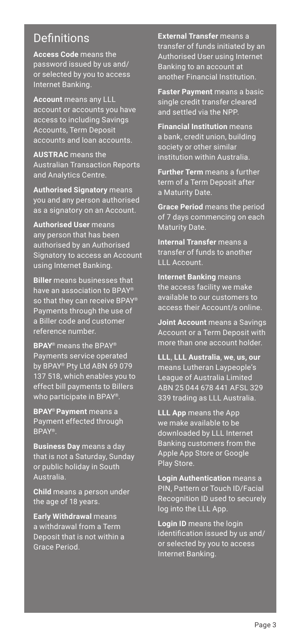### **Definitions**

**Access Code** means the password issued by us and/ or selected by you to access Internet Banking.

**Account** means any LLL account or accounts you have access to including Savings Accounts, Term Deposit accounts and loan accounts.

**AUSTRAC** means the Australian Transaction Reports and Analytics Centre.

**Authorised Signatory** means you and any person authorised as a signatory on an Account.

**Authorised User** means any person that has been authorised by an Authorised Signatory to access an Account using Internet Banking.

**Biller** means businesses that have an association to BPAY® so that they can receive BPAY® Payments through the use of a Biller code and customer reference number.

**BPAY**® means the BPAY® Payments service operated by BPAY® Pty Ltd ABN 69 079 137 518, which enables you to effect bill payments to Billers who participate in BPAY®.

**BPAY**® **Payment** means a Payment effected through BPAY®.

**Business Day** means a day that is not a Saturday, Sunday or public holiday in South Australia.

**Child** means a person under the age of 18 years.

**Early Withdrawal** means a withdrawal from a Term Deposit that is not within a Grace Period.

**External Transfer** means a transfer of funds initiated by an Authorised User using Internet Banking to an account at another Financial Institution.

**Faster Payment** means a basic single credit transfer cleared and settled via the NPP.

**Financial Institution** means a bank, credit union, building society or other similar institution within Australia.

**Further Term** means a further term of a Term Deposit after a Maturity Date.

**Grace Period** means the period of 7 days commencing on each Maturity Date.

**Internal Transfer** means a transfer of funds to another LLL Account.

**Internet Banking** means the access facility we make available to our customers to access their Account/s online.

**Joint Account** means a Savings Account or a Term Deposit with more than one account holder.

**LLL**, **LLL Australia**, **we**, **us, our**  means Lutheran Laypeople's League of Australia Limited ABN 25 044 678 441 AFSL 329 339 trading as LLL Australia.

**LLL App** means the App we make available to be downloaded by LLL Internet Banking customers from the Apple App Store or Google Play Store.

**Login Authentication** means a PIN, Pattern or Touch ID/Facial Recognition ID used to securely log into the LLL App.

**Login ID** means the login identification issued by us and/ or selected by you to access Internet Banking.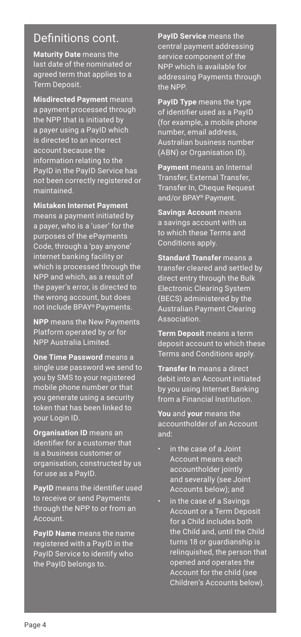### Definitions cont.

**Maturity Date** means the last date of the nominated or agreed term that applies to a Term Deposit.

**Misdirected Payment** means a payment processed through the NPP that is initiated by a payer using a PayID which is directed to an incorrect account because the information relating to the PayID in the PayID Service has not been correctly registered or maintained.

**Mistaken Internet Payment** means a payment initiated by a payer, who is a 'user' for the purposes of the ePayments Code, through a 'pay anyone' internet banking facility or which is processed through the NPP and which, as a result of the payer's error, is directed to the wrong account, but does not include BPAY® Payments.

**NPP** means the New Payments Platform operated by or for NPP Australia Limited.

**One Time Password** means a single use password we send to you by SMS to your registered mobile phone number or that you generate using a security token that has been linked to your Login ID.

**Organisation ID** means an identifier for a customer that is a business customer or organisation, constructed by us for use as a PayID.

**PayID** means the identifier used to receive or send Payments through the NPP to or from an Account.

**PayID Name** means the name registered with a PayID in the PayID Service to identify who the PayID belongs to.

**PayID Service** means the central payment addressing service component of the NPP which is available for addressing Payments through the NPP.

**PayID Type** means the type of identifier used as a PayID (for example, a mobile phone number, email address, Australian business number (ABN) or Organisation ID).

**Payment** means an Internal Transfer, External Transfer, Transfer In, Cheque Request and/or BPAY® Payment.

**Savings Account** means a savings account with us to which these Terms and Conditions apply.

**Standard Transfer** means a transfer cleared and settled by direct entry through the Bulk Electronic Clearing System (BECS) administered by the Australian Payment Clearing Association.

**Term Deposit** means a term deposit account to which these Terms and Conditions apply.

**Transfer In** means a direct debit into an Account initiated by you using Internet Banking from a Financial Institution.

**You** and **your** means the accountholder of an Account and:

- in the case of a Joint Account means each accountholder jointly and severally (see Joint Accounts below); and
- in the case of a Savings Account or a Term Deposit for a Child includes both the Child and, until the Child turns 18 or guardianship is relinquished, the person that opened and operates the Account for the child (see Children's Accounts below).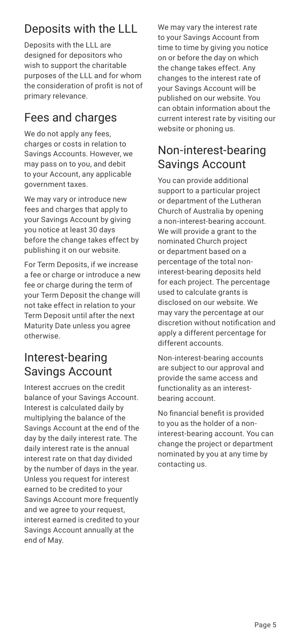# Deposits with the LLL

Deposits with the LLL are designed for depositors who wish to support the charitable purposes of the LLL and for whom the consideration of profit is not of primary relevance.

# Fees and charges

We do not apply any fees, charges or costs in relation to Savings Accounts. However, we may pass on to you, and debit to your Account, any applicable government taxes.

We may vary or introduce new fees and charges that apply to your Savings Account by giving you notice at least 30 days before the change takes effect by publishing it on our website.

For Term Deposits, if we increase a fee or charge or introduce a new fee or charge during the term of your Term Deposit the change will not take effect in relation to your Term Deposit until after the next Maturity Date unless you agree otherwise.

### Interest-bearing Savings Account

Interest accrues on the credit balance of your Savings Account. Interest is calculated daily by multiplying the balance of the Savings Account at the end of the day by the daily interest rate. The daily interest rate is the annual interest rate on that day divided by the number of days in the year. Unless you request for interest earned to be credited to your Savings Account more frequently and we agree to your request, interest earned is credited to your Savings Account annually at the end of May.

We may vary the interest rate to your Savings Account from time to time by giving you notice on or before the day on which the change takes effect. Any changes to the interest rate of your Savings Account will be published on our website. You can obtain information about the current interest rate by visiting our website or phoning us.

### Non-interest-bearing Savings Account

You can provide additional support to a particular project or department of the Lutheran Church of Australia by opening a non-interest-bearing account. We will provide a grant to the nominated Church project or department based on a percentage of the total noninterest-bearing deposits held for each project. The percentage used to calculate grants is disclosed on our website. We may vary the percentage at our discretion without notification and apply a different percentage for different accounts.

Non-interest-bearing accounts are subject to our approval and provide the same access and functionality as an interestbearing account.

No financial benefit is provided to you as the holder of a noninterest-bearing account. You can change the project or department nominated by you at any time by contacting us.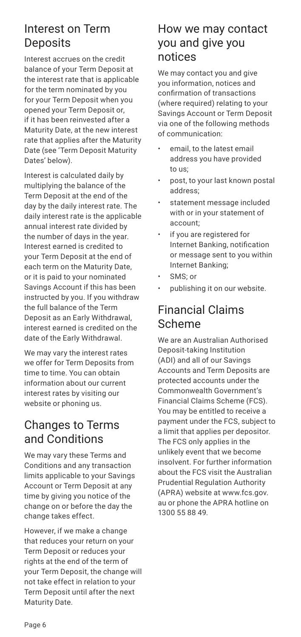### Interest on Term **Deposits**

Interest accrues on the credit balance of your Term Deposit at the interest rate that is applicable for the term nominated by you for your Term Deposit when you opened your Term Deposit or, if it has been reinvested after a Maturity Date, at the new interest rate that applies after the Maturity Date (see 'Term Deposit Maturity Dates' below).

Interest is calculated daily by multiplying the balance of the Term Deposit at the end of the day by the daily interest rate. The daily interest rate is the applicable annual interest rate divided by the number of days in the year. Interest earned is credited to your Term Deposit at the end of each term on the Maturity Date, or it is paid to your nominated Savings Account if this has been instructed by you. If you withdraw the full balance of the Term Deposit as an Early Withdrawal, interest earned is credited on the date of the Early Withdrawal.

We may vary the interest rates we offer for Term Deposits from time to time. You can obtain information about our current interest rates by visiting our website or phoning us.

### Changes to Terms and Conditions

We may vary these Terms and Conditions and any transaction limits applicable to your Savings Account or Term Deposit at any time by giving you notice of the change on or before the day the change takes effect.

However, if we make a change that reduces your return on your Term Deposit or reduces your rights at the end of the term of your Term Deposit, the change will not take effect in relation to your Term Deposit until after the next Maturity Date.

### How we may contact you and give you notices

We may contact you and give you information, notices and confirmation of transactions (where required) relating to your Savings Account or Term Deposit via one of the following methods of communication:

- email, to the latest email address you have provided to us;
- post, to your last known postal address;
- statement message included with or in your statement of account;
- if you are registered for Internet Banking, notification or message sent to you within Internet Banking;
- SMS; or
- publishing it on our website.

### Financial Claims Scheme

We are an Australian Authorised Deposit-taking Institution (ADI) and all of our Savings Accounts and Term Deposits are protected accounts under the Commonwealth Government's Financial Claims Scheme (FCS). You may be entitled to receive a payment under the FCS, subject to a limit that applies per depositor. The FCS only applies in the unlikely event that we become insolvent. For further information about the FCS visit the Australian Prudential Regulation Authority (APRA) website at www.fcs.gov. au or phone the APRA hotline on 1300 55 88 49.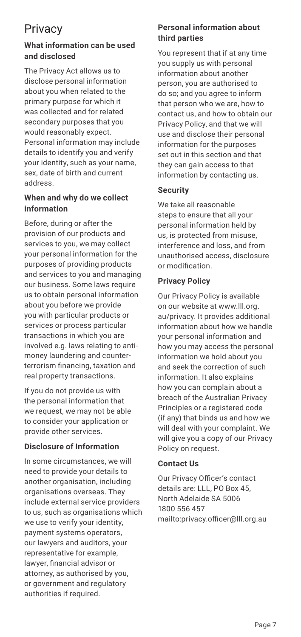# **Privacy**

#### **What information can be used and disclosed**

The Privacy Act allows us to disclose personal information about you when related to the primary purpose for which it was collected and for related secondary purposes that you would reasonably expect. Personal information may include details to identify you and verify your identity, such as your name, sex, date of birth and current address.

#### **When and why do we collect information**

Before, during or after the provision of our products and services to you, we may collect your personal information for the purposes of providing products and services to you and managing our business. Some laws require us to obtain personal information about you before we provide you with particular products or services or process particular transactions in which you are involved e.g. laws relating to antimoney laundering and counterterrorism financing, taxation and real property transactions.

If you do not provide us with the personal information that we request, we may not be able to consider your application or provide other services.

#### **Disclosure of Information**

In some circumstances, we will need to provide your details to another organisation, including organisations overseas. They include external service providers to us, such as organisations which we use to verify your identity, payment systems operators, our lawyers and auditors, your representative for example, lawyer, financial advisor or attorney, as authorised by you, or government and regulatory authorities if required.

#### **Personal information about third parties**

You represent that if at any time you supply us with personal information about another person, you are authorised to do so; and you agree to inform that person who we are, how to contact us, and how to obtain our Privacy Policy, and that we will use and disclose their personal information for the purposes set out in this section and that they can gain access to that information by contacting us.

#### **Security**

We take all reasonable steps to ensure that all your personal information held by us, is protected from misuse, interference and loss, and from unauthorised access, disclosure or modification.

#### **Privacy Policy**

Our Privacy Policy is available on our website at www.lll.org. au/privacy. It provides additional information about how we handle your personal information and how you may access the personal information we hold about you and seek the correction of such information. It also explains how you can complain about a breach of the Australian Privacy Principles or a registered code (if any) that binds us and how we will deal with your complaint. We will give you a copy of our Privacy Policy on request.

#### **Contact Us**

Our Privacy Officer's contact details are: LLL, PO Box 45 North Adelaide SA 5006 1800 556 457 mailto:privacy.officer@lll.org.au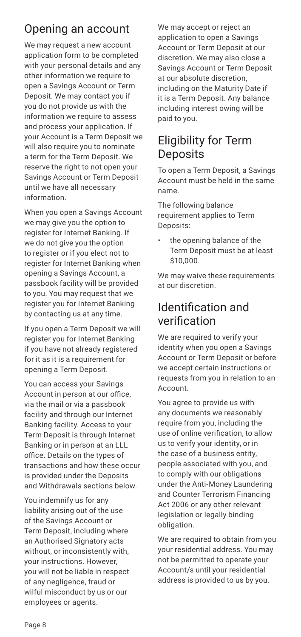# Opening an account

We may request a new account application form to be completed with your personal details and any other information we require to open a Savings Account or Term Deposit. We may contact you if you do not provide us with the information we require to assess and process your application. If your Account is a Term Deposit we will also require you to nominate a term for the Term Deposit. We reserve the right to not open your Savings Account or Term Deposit until we have all necessary information.

When you open a Savings Account we may give you the option to register for Internet Banking. If we do not give you the option to register or if you elect not to register for Internet Banking when opening a Savings Account, a passbook facility will be provided to you. You may request that we register you for Internet Banking by contacting us at any time.

If you open a Term Deposit we will register you for Internet Banking if you have not already registered for it as it is a requirement for opening a Term Deposit.

You can access your Savings Account in person at our office, via the mail or via a passbook facility and through our Internet Banking facility. Access to your Term Deposit is through Internet Banking or in person at an LLL office. Details on the types of transactions and how these occur is provided under the Deposits and Withdrawals sections below.

You indemnify us for any liability arising out of the use of the Savings Account or Term Deposit, including where an Authorised Signatory acts without, or inconsistently with, your instructions. However, you will not be liable in respect of any negligence, fraud or wilful misconduct by us or our employees or agents.

We may accept or reject an application to open a Savings Account or Term Deposit at our discretion. We may also close a Savings Account or Term Deposit at our absolute discretion, including on the Maturity Date if it is a Term Deposit. Any balance including interest owing will be paid to you.

### Eligibility for Term **Deposits**

To open a Term Deposit, a Savings Account must be held in the same name.

The following balance requirement applies to Term Deposits:

the opening balance of the Term Deposit must be at least \$10,000.

We may waive these requirements at our discretion.

### Identification and verification

We are required to verify your identity when you open a Savings Account or Term Deposit or before we accept certain instructions or requests from you in relation to an Account.

You agree to provide us with any documents we reasonably require from you, including the use of online verification, to allow us to verify your identity, or in the case of a business entity, people associated with you, and to comply with our obligations under the Anti-Money Laundering and Counter Terrorism Financing Act 2006 or any other relevant legislation or legally binding obligation.

We are required to obtain from you your residential address. You may not be permitted to operate your Account/s until your residential address is provided to us by you.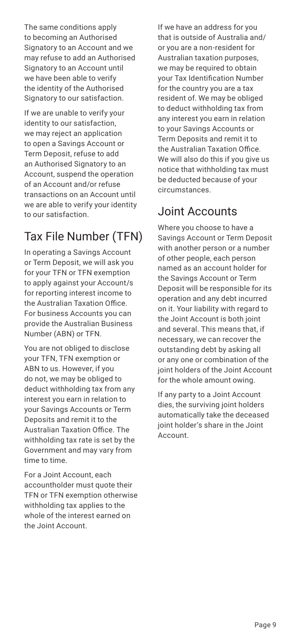The same conditions apply to becoming an Authorised Signatory to an Account and we may refuse to add an Authorised Signatory to an Account until we have been able to verify the identity of the Authorised Signatory to our satisfaction.

If we are unable to verify your identity to our satisfaction, we may reject an application to open a Savings Account or Term Deposit, refuse to add an Authorised Signatory to an Account, suspend the operation of an Account and/or refuse transactions on an Account until we are able to verify your identity to our satisfaction.

# Tax File Number (TFN)

In operating a Savings Account or Term Deposit, we will ask you for your TFN or TFN exemption to apply against your Account/s for reporting interest income to the Australian Taxation Office. For business Accounts you can provide the Australian Business Number (ABN) or TFN.

You are not obliged to disclose your TFN, TFN exemption or ABN to us. However, if you do not, we may be obliged to deduct withholding tax from any interest you earn in relation to your Savings Accounts or Term Deposits and remit it to the Australian Taxation Office. The withholding tax rate is set by the Government and may vary from time to time.

For a Joint Account, each accountholder must quote their TFN or TFN exemption otherwise withholding tax applies to the whole of the interest earned on the Joint Account.

If we have an address for you that is outside of Australia and/ or you are a non-resident for Australian taxation purposes, we may be required to obtain your Tax Identification Number for the country you are a tax resident of. We may be obliged to deduct withholding tax from any interest you earn in relation to your Savings Accounts or Term Deposits and remit it to the Australian Taxation Office. We will also do this if you give us notice that withholding tax must be deducted because of your circumstances.

# Joint Accounts

Where you choose to have a Savings Account or Term Deposit with another person or a number of other people, each person named as an account holder for the Savings Account or Term Deposit will be responsible for its operation and any debt incurred on it. Your liability with regard to the Joint Account is both joint and several. This means that, if necessary, we can recover the outstanding debt by asking all or any one or combination of the joint holders of the Joint Account for the whole amount owing.

If any party to a Joint Account dies, the surviving joint holders automatically take the deceased joint holder's share in the Joint Account.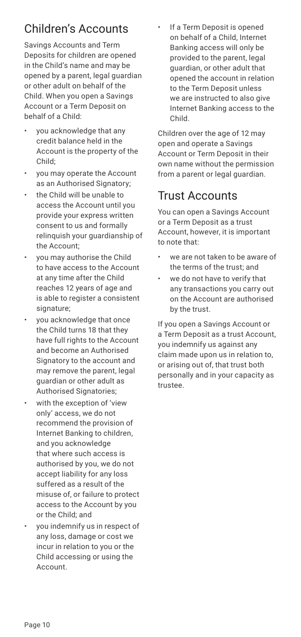# Children's Accounts

Savings Accounts and Term Deposits for children are opened in the Child's name and may be opened by a parent, legal guardian or other adult on behalf of the Child. When you open a Savings Account or a Term Deposit on behalf of a Child:

- you acknowledge that any credit balance held in the Account is the property of the Child;
- you may operate the Account as an Authorised Signatory;
- the Child will be unable to access the Account until you provide your express written consent to us and formally relinquish your guardianship of the Account;
- you may authorise the Child to have access to the Account at any time after the Child reaches 12 years of age and is able to register a consistent signature;
- you acknowledge that once the Child turns 18 that they have full rights to the Account and become an Authorised Signatory to the account and may remove the parent, legal guardian or other adult as Authorised Signatories;
- with the exception of 'view only' access, we do not recommend the provision of Internet Banking to children, and you acknowledge that where such access is authorised by you, we do not accept liability for any loss suffered as a result of the misuse of, or failure to protect access to the Account by you or the Child; and
- you indemnify us in respect of any loss, damage or cost we incur in relation to you or the Child accessing or using the Account.

If a Term Deposit is opened on behalf of a Child, Internet Banking access will only be provided to the parent, legal guardian, or other adult that opened the account in relation to the Term Deposit unless we are instructed to also give Internet Banking access to the Child.

Children over the age of 12 may open and operate a Savings Account or Term Deposit in their own name without the permission from a parent or legal guardian

# Trust Accounts

You can open a Savings Account or a Term Deposit as a trust Account, however, it is important to note that:

- we are not taken to be aware of the terms of the trust; and
- we do not have to verify that any transactions you carry out on the Account are authorised by the trust.

If you open a Savings Account or a Term Deposit as a trust Account, you indemnify us against any claim made upon us in relation to, or arising out of, that trust both personally and in your capacity as trustee.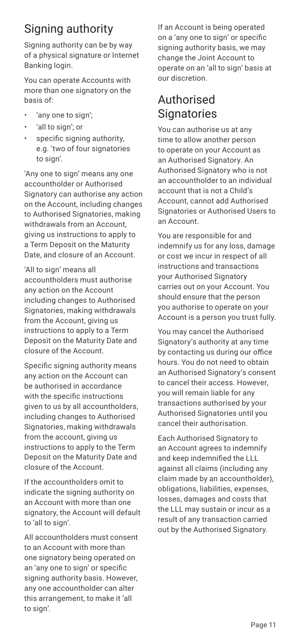# Signing authority

Signing authority can be by way of a physical signature or Internet Banking login.

You can operate Accounts with more than one signatory on the basis of:

- 'any one to sign';
- 'all to sign'; or
- specific signing authority, e.g. 'two of four signatories to sign'.

'Any one to sign' means any one accountholder or Authorised Signatory can authorise any action on the Account, including changes to Authorised Signatories, making withdrawals from an Account, giving us instructions to apply to a Term Deposit on the Maturity Date, and closure of an Account.

'All to sign' means all accountholders must authorise any action on the Account including changes to Authorised Signatories, making withdrawals from the Account, giving us instructions to apply to a Term Deposit on the Maturity Date and closure of the Account.

Specific signing authority means any action on the Account can be authorised in accordance with the specific instructions given to us by all accountholders, including changes to Authorised Signatories, making withdrawals from the account, giving us instructions to apply to the Term Deposit on the Maturity Date and closure of the Account.

If the accountholders omit to indicate the signing authority on an Account with more than one signatory, the Account will default to 'all to sign'.

All accountholders must consent to an Account with more than one signatory being operated on an 'any one to sign' or specific signing authority basis. However, any one accountholder can alter this arrangement, to make it 'all to sign'.

If an Account is being operated on a 'any one to sign' or specific signing authority basis, we may change the Joint Account to operate on an 'all to sign' basis at our discretion.

# Authorised **Signatories**

You can authorise us at any time to allow another person to operate on your Account as an Authorised Signatory. An Authorised Signatory who is not an accountholder to an individual account that is not a Child's Account, cannot add Authorised Signatories or Authorised Users to an Account.

You are responsible for and indemnify us for any loss, damage or cost we incur in respect of all instructions and transactions your Authorised Signatory carries out on your Account. You should ensure that the person you authorise to operate on your Account is a person you trust fully.

You may cancel the Authorised Signatory's authority at any time by contacting us during our office hours. You do not need to obtain an Authorised Signatory's consent to cancel their access. However, you will remain liable for any transactions authorised by your Authorised Signatories until you cancel their authorisation.

Each Authorised Signatory to an Account agrees to indemnify and keep indemnified the LLL against all claims (including any claim made by an accountholder), obligations, liabilities, expenses, losses, damages and costs that the LLL may sustain or incur as a result of any transaction carried out by the Authorised Signatory.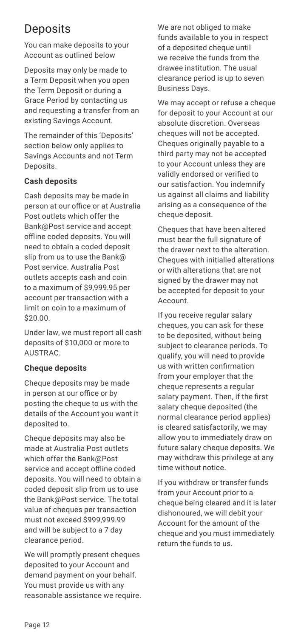# **Deposits**

You can make deposits to your Account as outlined below

Deposits may only be made to a Term Deposit when you open the Term Deposit or during a Grace Period by contacting us and requesting a transfer from an existing Savings Account.

The remainder of this 'Deposits' section below only applies to Savings Accounts and not Term Deposits.

#### **Cash deposits**

Cash deposits may be made in person at our office or at Australia Post outlets which offer the Bank@Post service and accept offline coded deposits. You will need to obtain a coded deposit slip from us to use the Bank@ Post service. Australia Post outlets accepts cash and coin to a maximum of \$9,999.95 per account per transaction with a limit on coin to a maximum of \$20.00.

Under law, we must report all cash deposits of \$10,000 or more to AUSTRAC.

#### **Cheque deposits**

Cheque deposits may be made in person at our office or by posting the cheque to us with the details of the Account you want it deposited to.

Cheque deposits may also be made at Australia Post outlets which offer the Bank@Post service and accept offline coded deposits. You will need to obtain a coded deposit slip from us to use the Bank@Post service. The total value of cheques per transaction must not exceed \$999,999.99 and will be subject to a 7 day clearance period.

We will promptly present cheques deposited to your Account and demand payment on your behalf. You must provide us with any reasonable assistance we require. We are not obliged to make funds available to you in respect of a deposited cheque until we receive the funds from the drawee institution. The usual clearance period is up to seven Business Days.

We may accept or refuse a cheque for deposit to your Account at our absolute discretion. Overseas cheques will not be accepted. Cheques originally payable to a third party may not be accepted to your Account unless they are validly endorsed or verified to our satisfaction. You indemnify us against all claims and liability arising as a consequence of the cheque deposit.

Cheques that have been altered must bear the full signature of the drawer next to the alteration. Cheques with initialled alterations or with alterations that are not signed by the drawer may not be accepted for deposit to your Account.

If you receive regular salary cheques, you can ask for these to be deposited, without being subject to clearance periods. To qualify, you will need to provide us with written confirmation from your employer that the cheque represents a regular salary payment. Then, if the first salary cheque deposited (the normal clearance period applies) is cleared satisfactorily, we may allow you to immediately draw on future salary cheque deposits. We may withdraw this privilege at any time without notice.

If you withdraw or transfer funds from your Account prior to a cheque being cleared and it is later dishonoured, we will debit your Account for the amount of the cheque and you must immediately return the funds to us.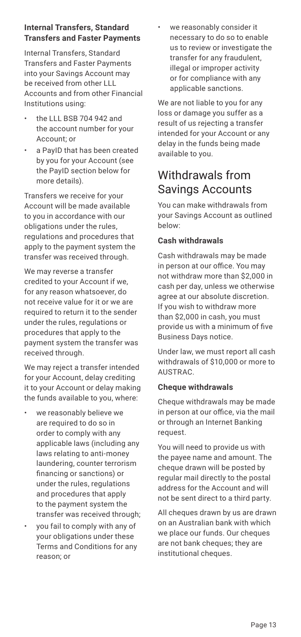#### **Internal Transfers, Standard Transfers and Faster Payments**

Internal Transfers, Standard Transfers and Faster Payments into your Savings Account may be received from other LLL Accounts and from other Financial Institutions using:

- the LLL BSB 704 942 and the account number for your Account; or
- a PayID that has been created by you for your Account (see the PayID section below for more details).

Transfers we receive for your Account will be made available to you in accordance with our obligations under the rules, regulations and procedures that apply to the payment system the transfer was received through.

We may reverse a transfer credited to your Account if we, for any reason whatsoever, do not receive value for it or we are required to return it to the sender under the rules, regulations or procedures that apply to the payment system the transfer was received through.

We may reject a transfer intended for your Account, delay crediting it to your Account or delay making the funds available to you, where:

- we reasonably believe we are required to do so in order to comply with any applicable laws (including any laws relating to anti-money laundering, counter terrorism financing or sanctions) or under the rules, regulations and procedures that apply to the payment system the transfer was received through;
- you fail to comply with any of your obligations under these Terms and Conditions for any reason; or

we reasonably consider it necessary to do so to enable us to review or investigate the transfer for any fraudulent, illegal or improper activity or for compliance with any applicable sanctions.

We are not liable to you for any loss or damage you suffer as a result of us rejecting a transfer intended for your Account or any delay in the funds being made available to you.

### Withdrawals from Savings Accounts

You can make withdrawals from your Savings Account as outlined below:

#### **Cash withdrawals**

Cash withdrawals may be made in person at our office. You may not withdraw more than \$2,000 in cash per day, unless we otherwise agree at our absolute discretion. If you wish to withdraw more than \$2,000 in cash, you must provide us with a minimum of five Business Days notice.

Under law, we must report all cash withdrawals of \$10,000 or more to AUSTRAC.

#### **Cheque withdrawals**

Cheque withdrawals may be made in person at our office, via the mail or through an Internet Banking request.

You will need to provide us with the payee name and amount. The cheque drawn will be posted by regular mail directly to the postal address for the Account and will not be sent direct to a third party.

All cheques drawn by us are drawn on an Australian bank with which we place our funds. Our cheques are not bank cheques; they are institutional cheques.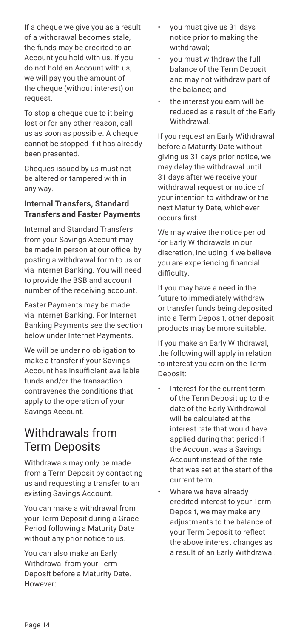If a cheque we give you as a result of a withdrawal becomes stale, the funds may be credited to an Account you hold with us. If you do not hold an Account with us, we will pay you the amount of the cheque (without interest) on request.

To stop a cheque due to it being lost or for any other reason, call us as soon as possible. A cheque cannot be stopped if it has already been presented.

Cheques issued by us must not be altered or tampered with in any way.

#### **Internal Transfers, Standard Transfers and Faster Payments**

Internal and Standard Transfers from your Savings Account may be made in person at our office, by posting a withdrawal form to us or via Internet Banking. You will need to provide the BSB and account number of the receiving account.

Faster Payments may be made via Internet Banking. For Internet Banking Payments see the section below under Internet Payments.

We will be under no obligation to make a transfer if your Savings Account has insufficient available funds and/or the transaction contravenes the conditions that apply to the operation of your Savings Account.

### Withdrawals from Term Deposits

Withdrawals may only be made from a Term Deposit by contacting us and requesting a transfer to an existing Savings Account.

You can make a withdrawal from your Term Deposit during a Grace Period following a Maturity Date without any prior notice to us.

You can also make an Early Withdrawal from your Term Deposit before a Maturity Date. However:

- you must give us 31 days notice prior to making the withdrawal;
- you must withdraw the full balance of the Term Deposit and may not withdraw part of the balance; and
- the interest you earn will be reduced as a result of the Early **Withdrawal**

If you request an Early Withdrawal before a Maturity Date without giving us 31 days prior notice, we may delay the withdrawal until 31 days after we receive your withdrawal request or notice of your intention to withdraw or the next Maturity Date, whichever occurs first.

We may waive the notice period for Early Withdrawals in our discretion, including if we believe you are experiencing financial difficulty.

If you may have a need in the future to immediately withdraw or transfer funds being deposited into a Term Deposit, other deposit products may be more suitable.

If you make an Early Withdrawal, the following will apply in relation to interest you earn on the Term Deposit:

- Interest for the current term of the Term Deposit up to the date of the Early Withdrawal will be calculated at the interest rate that would have applied during that period if the Account was a Savings Account instead of the rate that was set at the start of the current term.
- Where we have already credited interest to your Term Deposit, we may make any adjustments to the balance of your Term Deposit to reflect the above interest changes as a result of an Early Withdrawal.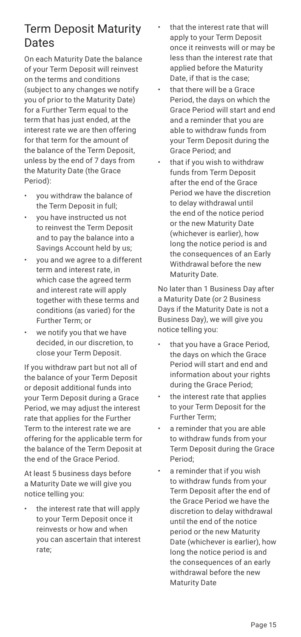### Term Deposit Maturity Dates

On each Maturity Date the balance of your Term Deposit will reinvest on the terms and conditions (subject to any changes we notify you of prior to the Maturity Date) for a Further Term equal to the term that has just ended, at the interest rate we are then offering for that term for the amount of the balance of the Term Deposit, unless by the end of 7 days from the Maturity Date (the Grace Period):

- you withdraw the balance of the Term Deposit in full;
- you have instructed us not to reinvest the Term Deposit and to pay the balance into a Savings Account held by us;
- you and we agree to a different term and interest rate, in which case the agreed term and interest rate will apply together with these terms and conditions (as varied) for the Further Term; or
- we notify you that we have decided, in our discretion, to close your Term Deposit.

If you withdraw part but not all of the balance of your Term Deposit or deposit additional funds into your Term Deposit during a Grace Period, we may adjust the interest rate that applies for the Further Term to the interest rate we are offering for the applicable term for the balance of the Term Deposit at the end of the Grace Period.

At least 5 business days before a Maturity Date we will give you notice telling you:

• the interest rate that will apply to your Term Deposit once it reinvests or how and when you can ascertain that interest rate;

- that the interest rate that will apply to your Term Deposit once it reinvests will or may be less than the interest rate that applied before the Maturity Date, if that is the case;
- that there will be a Grace Period, the days on which the Grace Period will start and end and a reminder that you are able to withdraw funds from your Term Deposit during the Grace Period; and
- that if you wish to withdraw funds from Term Deposit after the end of the Grace Period we have the discretion to delay withdrawal until the end of the notice period or the new Maturity Date (whichever is earlier), how long the notice period is and the consequences of an Early Withdrawal before the new Maturity Date.

No later than 1 Business Day after a Maturity Date (or 2 Business Days if the Maturity Date is not a Business Day), we will give you notice telling you:

- that you have a Grace Period, the days on which the Grace Period will start and end and information about your rights during the Grace Period;
- the interest rate that applies to your Term Deposit for the Further Term;
- a reminder that you are able to withdraw funds from your Term Deposit during the Grace Period;
- a reminder that if you wish to withdraw funds from your Term Deposit after the end of the Grace Period we have the discretion to delay withdrawal until the end of the notice period or the new Maturity Date (whichever is earlier), how long the notice period is and the consequences of an early withdrawal before the new Maturity Date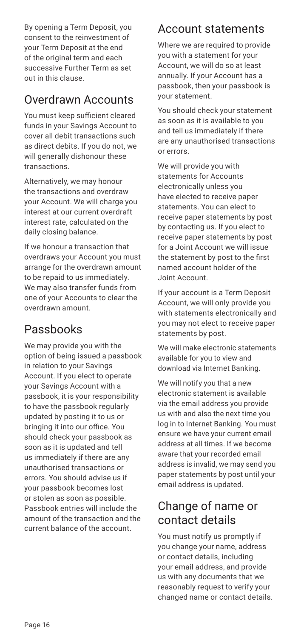By opening a Term Deposit, you consent to the reinvestment of your Term Deposit at the end of the original term and each successive Further Term as set out in this clause.

# Overdrawn Accounts

You must keep sufficient cleared funds in your Savings Account to cover all debit transactions such as direct debits. If you do not, we will generally dishonour these transactions.

Alternatively, we may honour the transactions and overdraw your Account. We will charge you interest at our current overdraft interest rate, calculated on the daily closing balance.

If we honour a transaction that overdraws your Account you must arrange for the overdrawn amount to be repaid to us immediately. We may also transfer funds from one of your Accounts to clear the overdrawn amount.

# Passbooks

We may provide you with the option of being issued a passbook in relation to your Savings Account. If you elect to operate your Savings Account with a passbook, it is your responsibility to have the passbook regularly updated by posting it to us or bringing it into our office. You should check your passbook as soon as it is updated and tell us immediately if there are any unauthorised transactions or errors. You should advise us if your passbook becomes lost or stolen as soon as possible. Passbook entries will include the amount of the transaction and the current balance of the account.

### Account statements

Where we are required to provide you with a statement for your Account, we will do so at least annually. If your Account has a passbook, then your passbook is your statement.

You should check your statement as soon as it is available to you and tell us immediately if there are any unauthorised transactions or errors.

We will provide you with statements for Accounts electronically unless you have elected to receive paper statements. You can elect to receive paper statements by post by contacting us. If you elect to receive paper statements by post for a Joint Account we will issue the statement by post to the first named account holder of the Joint Account.

If your account is a Term Deposit Account, we will only provide you with statements electronically and you may not elect to receive paper statements by post.

We will make electronic statements available for you to view and download via Internet Banking.

We will notify you that a new electronic statement is available via the email address you provide us with and also the next time you log in to Internet Banking. You must ensure we have your current email address at all times. If we become aware that your recorded email address is invalid, we may send you paper statements by post until your email address is updated.

### Change of name or contact details

You must notify us promptly if you change your name, address or contact details, including your email address, and provide us with any documents that we reasonably request to verify your changed name or contact details.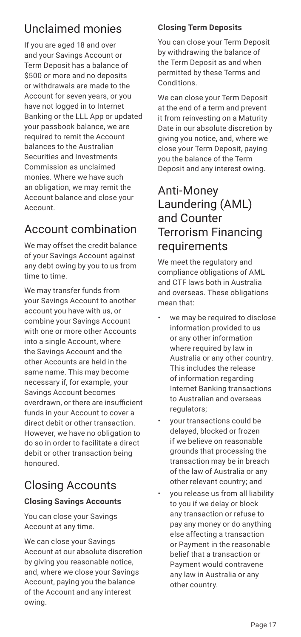# Unclaimed monies

If you are aged 18 and over and your Savings Account or Term Deposit has a balance of \$500 or more and no deposits or withdrawals are made to the Account for seven years, or you have not logged in to Internet Banking or the LLL App or updated your passbook balance, we are required to remit the Account balances to the Australian Securities and Investments Commission as unclaimed monies. Where we have such an obligation, we may remit the Account balance and close your Account.

# Account combination

We may offset the credit balance of your Savings Account against any debt owing by you to us from time to time.

We may transfer funds from your Savings Account to another account you have with us, or combine your Savings Account with one or more other Accounts into a single Account, where the Savings Account and the other Accounts are held in the same name. This may become necessary if, for example, your Savings Account becomes overdrawn, or there are insufficient funds in your Account to cover a direct debit or other transaction. However, we have no obligation to do so in order to facilitate a direct debit or other transaction being honoured.

# Closing Accounts

#### **Closing Savings Accounts**

You can close your Savings Account at any time.

We can close your Savings Account at our absolute discretion by giving you reasonable notice, and, where we close your Savings Account, paying you the balance of the Account and any interest owing.

#### **Closing Term Deposits**

You can close your Term Deposit by withdrawing the balance of the Term Deposit as and when permitted by these Terms and Conditions.

We can close your Term Deposit at the end of a term and prevent it from reinvesting on a Maturity Date in our absolute discretion by giving you notice, and, where we close your Term Deposit, paying you the balance of the Term Deposit and any interest owing.

### Anti-Money Laundering (AML) and Counter Terrorism Financing requirements

We meet the regulatory and compliance obligations of AML and CTF laws both in Australia and overseas. These obligations mean that:

- we may be required to disclose information provided to us or any other information where required by law in Australia or any other country. This includes the release of information regarding Internet Banking transactions to Australian and overseas regulators;
- your transactions could be delayed, blocked or frozen if we believe on reasonable grounds that processing the transaction may be in breach of the law of Australia or any other relevant country; and
- you release us from all liability to you if we delay or block any transaction or refuse to pay any money or do anything else affecting a transaction or Payment in the reasonable belief that a transaction or Payment would contravene any law in Australia or any other country.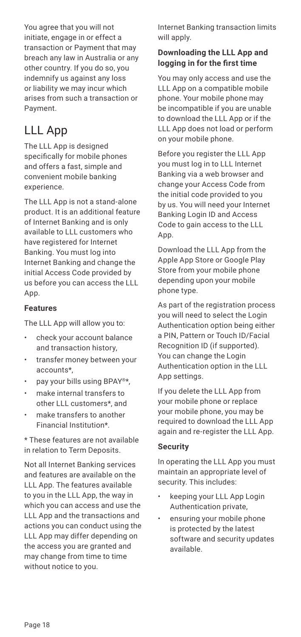You agree that you will not initiate, engage in or effect a transaction or Payment that may breach any law in Australia or any other country. If you do so, you indemnify us against any loss or liability we may incur which arises from such a transaction or Payment.

# LLL App

The LLL App is designed specifically for mobile phones and offers a fast, simple and convenient mobile banking experience.

The LLL App is not a stand-alone product. It is an additional feature of Internet Banking and is only available to LLL customers who have registered for Internet Banking. You must log into Internet Banking and change the initial Access Code provided by us before you can access the LLL App.

#### **Features**

The LLL App will allow you to:

- check your account balance and transaction history,
- transfer money between your accounts\*,
- pay your bills using BPAY®\*,
- make internal transfers to other LLL customers\*, and
- make transfers to another Financial Institution\*.

\* These features are not available in relation to Term Deposits.

Not all Internet Banking services and features are available on the LLL App. The features available to you in the LLL App, the way in which you can access and use the LLL App and the transactions and actions you can conduct using the LLL App may differ depending on the access you are granted and may change from time to time without notice to you.

Internet Banking transaction limits will apply.

#### **Downloading the LLL App and logging in for the first time**

You may only access and use the LLL App on a compatible mobile phone. Your mobile phone may be incompatible if you are unable to download the LLL App or if the LLL App does not load or perform on your mobile phone.

Before you register the LLL App you must log in to LLL Internet Banking via a web browser and change your Access Code from the initial code provided to you by us. You will need your Internet Banking Login ID and Access Code to gain access to the LLL App.

Download the LLL App from the Apple App Store or Google Play Store from your mobile phone depending upon your mobile phone type.

As part of the registration process you will need to select the Login Authentication option being either a PIN, Pattern or Touch ID/Facial Recognition ID (if supported). You can change the Login Authentication option in the LLL App settings.

If you delete the LLL App from your mobile phone or replace your mobile phone, you may be required to download the LLL App again and re-register the LLL App.

#### **Security**

In operating the LLL App you must maintain an appropriate level of security. This includes:

- keeping your LLL App Login Authentication private,
- ensuring your mobile phone is protected by the latest software and security updates available.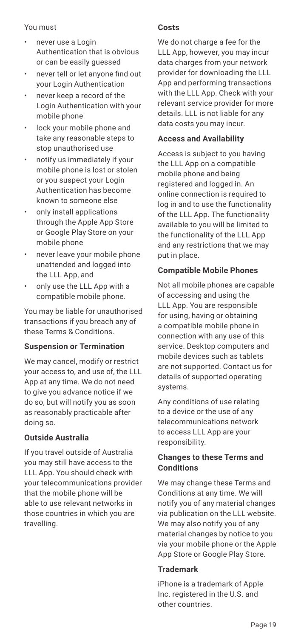#### You must

- never use a Login Authentication that is obvious or can be easily guessed
- never tell or let anyone find out your Login Authentication
- never keep a record of the Login Authentication with your mobile phone
- lock your mobile phone and take any reasonable steps to stop unauthorised use
- notify us immediately if your mobile phone is lost or stolen or you suspect your Login Authentication has become known to someone else
- only install applications through the Apple App Store or Google Play Store on your mobile phone
- never leave your mobile phone unattended and logged into the LLL App, and
- only use the LLL App with a compatible mobile phone.

You may be liable for unauthorised transactions if you breach any of these Terms & Conditions.

#### **Suspension or Termination**

We may cancel, modify or restrict your access to, and use of, the LLL App at any time. We do not need to give you advance notice if we do so, but will notify you as soon as reasonably practicable after doing so.

#### **Outside Australia**

If you travel outside of Australia you may still have access to the LLL App. You should check with your telecommunications provider that the mobile phone will be able to use relevant networks in those countries in which you are travelling.

#### **Costs**

We do not charge a fee for the LLL App, however, you may incur data charges from your network provider for downloading the LLL App and performing transactions with the LLL App. Check with your relevant service provider for more details. LLL is not liable for any data costs you may incur.

#### **Access and Availability**

Access is subject to you having the LLL App on a compatible mobile phone and being registered and logged in. An online connection is required to log in and to use the functionality of the LLL App. The functionality available to you will be limited to the functionality of the LLL App and any restrictions that we may put in place.

#### **Compatible Mobile Phones**

Not all mobile phones are capable of accessing and using the LLL App. You are responsible for using, having or obtaining a compatible mobile phone in connection with any use of this service. Desktop computers and mobile devices such as tablets are not supported. Contact us for details of supported operating systems.

Any conditions of use relating to a device or the use of any telecommunications network to access LLL App are your responsibility.

#### **Changes to these Terms and Conditions**

We may change these Terms and Conditions at any time. We will notify you of any material changes via publication on the LLL website. We may also notify you of any material changes by notice to you via your mobile phone or the Apple App Store or Google Play Store.

#### **Trademark**

iPhone is a trademark of Apple Inc. registered in the U.S. and other countries.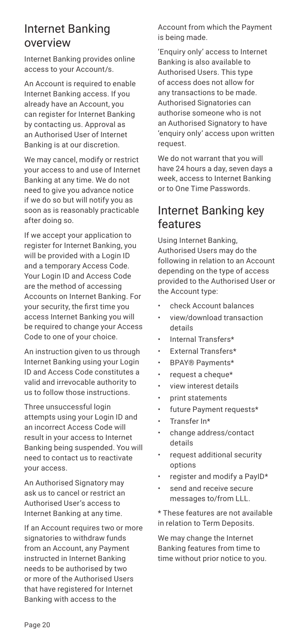### Internet Banking overview

Internet Banking provides online access to your Account/s.

An Account is required to enable Internet Banking access. If you already have an Account, you can register for Internet Banking by contacting us. Approval as an Authorised User of Internet Banking is at our discretion.

We may cancel, modify or restrict your access to and use of Internet Banking at any time. We do not need to give you advance notice if we do so but will notify you as soon as is reasonably practicable after doing so.

If we accept your application to register for Internet Banking, you will be provided with a Login ID and a temporary Access Code. Your Login ID and Access Code are the method of accessing Accounts on Internet Banking. For your security, the first time you access Internet Banking you will be required to change your Access Code to one of your choice.

An instruction given to us through Internet Banking using your Login ID and Access Code constitutes a valid and irrevocable authority to us to follow those instructions.

Three unsuccessful login attempts using your Login ID and an incorrect Access Code will result in your access to Internet Banking being suspended. You will need to contact us to reactivate your access.

An Authorised Signatory may ask us to cancel or restrict an Authorised User's access to Internet Banking at any time.

If an Account requires two or more signatories to withdraw funds from an Account, any Payment instructed in Internet Banking needs to be authorised by two or more of the Authorised Users that have registered for Internet Banking with access to the

Account from which the Payment is being made.

'Enquiry only' access to Internet Banking is also available to Authorised Users. This type of access does not allow for any transactions to be made. Authorised Signatories can authorise someone who is not an Authorised Signatory to have 'enquiry only' access upon written request.

We do not warrant that you will have 24 hours a day, seven days a week, access to Internet Banking or to One Time Passwords.

### Internet Banking key features

Using Internet Banking, Authorised Users may do the following in relation to an Account depending on the type of access provided to the Authorised User or the Account type:

- check Account balances
- view/download transaction details
- Internal Transfers\*
- External Transfers\*
- BPAY® Payments\*
- request a cheque\*
- view interest details
- print statements
- future Payment requests\*
- Transfer In\*
- change address/contact details
- request additional security options
- register and modify a PayID\*
- send and receive secure messages to/from LLL.

\* These features are not available in relation to Term Deposits.

We may change the Internet Banking features from time to time without prior notice to you.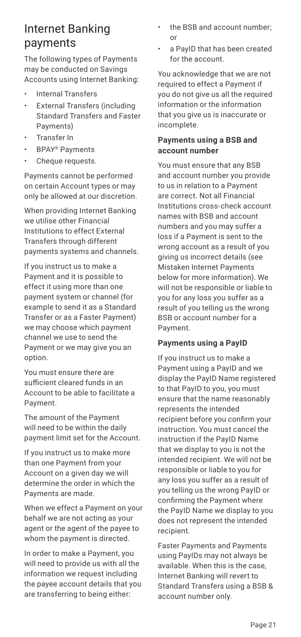### Internet Banking payments

The following types of Payments may be conducted on Savings Accounts using Internet Banking:

- Internal Transfers
- External Transfers (including Standard Transfers and Faster Payments)
- Transfer In
- BPAY® Payments
- Cheque requests.

Payments cannot be performed on certain Account types or may only be allowed at our discretion.

When providing Internet Banking we utilise other Financial Institutions to effect External Transfers through different payments systems and channels.

If you instruct us to make a Payment and it is possible to effect it using more than one payment system or channel (for example to send it as a Standard Transfer or as a Faster Payment) we may choose which payment channel we use to send the Payment or we may give you an option.

You must ensure there are sufficient cleared funds in an Account to be able to facilitate a Payment.

The amount of the Payment will need to be within the daily payment limit set for the Account.

If you instruct us to make more than one Payment from your Account on a given day we will determine the order in which the Payments are made.

When we effect a Payment on your behalf we are not acting as your agent or the agent of the payee to whom the payment is directed.

In order to make a Payment, you will need to provide us with all the information we request including the payee account details that you are transferring to being either:

- the BSB and account number; or
- a PayID that has been created for the account.

You acknowledge that we are not required to effect a Payment if you do not give us all the required information or the information that you give us is inaccurate or incomplete.

#### **Payments using a BSB and account number**

You must ensure that any BSB and account number you provide to us in relation to a Payment are correct. Not all Financial Institutions cross-check account names with BSB and account numbers and you may suffer a loss if a Payment is sent to the wrong account as a result of you giving us incorrect details (see Mistaken Internet Payments below for more information). We will not be responsible or liable to you for any loss you suffer as a result of you telling us the wrong BSB or account number for a Payment.

#### **Payments using a PayID**

If you instruct us to make a Payment using a PayID and we display the PayID Name registered to that PayID to you, you must ensure that the name reasonably represents the intended recipient before you confirm your instruction. You must cancel the instruction if the PayID Name that we display to you is not the intended recipient. We will not be responsible or liable to you for any loss you suffer as a result of you telling us the wrong PayID or confirming the Payment where the PayID Name we display to you does not represent the intended recipient.

Faster Payments and Payments using PayIDs may not always be available. When this is the case, Internet Banking will revert to Standard Transfers using a BSB & account number only.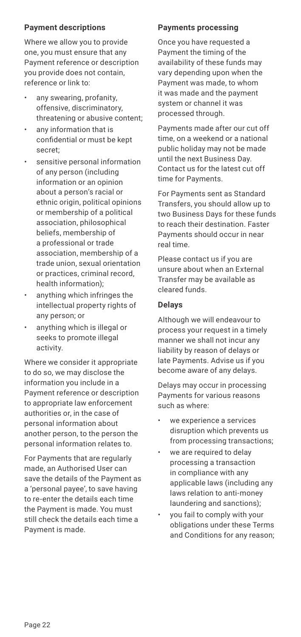#### **Payment descriptions**

Where we allow you to provide one, you must ensure that any Payment reference or description you provide does not contain, reference or link to:

- any swearing, profanity, offensive, discriminatory, threatening or abusive content;
- any information that is confidential or must be kept secret;
- sensitive personal information of any person (including information or an opinion about a person's racial or ethnic origin, political opinions or membership of a political association, philosophical beliefs, membership of a professional or trade association, membership of a trade union, sexual orientation or practices, criminal record, health information);
- anything which infringes the intellectual property rights of any person; or
- anything which is illegal or seeks to promote illegal activity.

Where we consider it appropriate to do so, we may disclose the information you include in a Payment reference or description to appropriate law enforcement authorities or, in the case of personal information about another person, to the person the personal information relates to.

For Payments that are regularly made, an Authorised User can save the details of the Payment as a 'personal payee', to save having to re-enter the details each time the Payment is made. You must still check the details each time a Payment is made.

#### **Payments processing**

Once you have requested a Payment the timing of the availability of these funds may vary depending upon when the Payment was made, to whom it was made and the payment system or channel it was processed through.

Payments made after our cut off time, on a weekend or a national public holiday may not be made until the next Business Day. Contact us for the latest cut off time for Payments.

For Payments sent as Standard Transfers, you should allow up to two Business Days for these funds to reach their destination. Faster Payments should occur in near real time.

Please contact us if you are unsure about when an External Transfer may be available as cleared funds.

#### **Delays**

Although we will endeavour to process your request in a timely manner we shall not incur any liability by reason of delays or late Payments. Advise us if you become aware of any delays.

Delays may occur in processing Payments for various reasons such as where:

- we experience a services disruption which prevents us from processing transactions;
- we are required to delay processing a transaction in compliance with any applicable laws (including any laws relation to anti-money laundering and sanctions);
- you fail to comply with your obligations under these Terms and Conditions for any reason;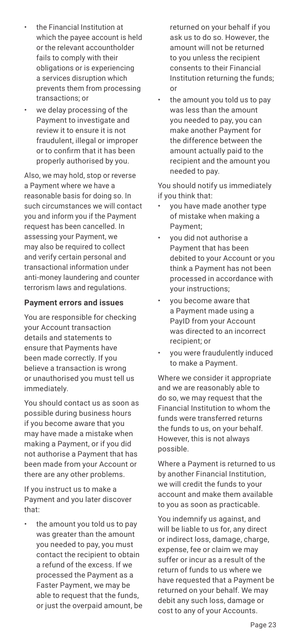- the Financial Institution at which the payee account is held or the relevant accountholder fails to comply with their obligations or is experiencing a services disruption which prevents them from processing transactions; or
- we delay processing of the Payment to investigate and review it to ensure it is not fraudulent, illegal or improper or to confirm that it has been properly authorised by you.

Also, we may hold, stop or reverse a Payment where we have a reasonable basis for doing so. In such circumstances we will contact you and inform you if the Payment request has been cancelled. In assessing your Payment, we may also be required to collect and verify certain personal and transactional information under anti-money laundering and counter terrorism laws and regulations.

#### **Payment errors and issues**

You are responsible for checking your Account transaction details and statements to ensure that Payments have been made correctly. If you believe a transaction is wrong or unauthorised you must tell us immediately.

You should contact us as soon as possible during business hours if you become aware that you may have made a mistake when making a Payment, or if you did not authorise a Payment that has been made from your Account or there are any other problems.

If you instruct us to make a Payment and you later discover that:

the amount you told us to pay was greater than the amount you needed to pay, you must contact the recipient to obtain a refund of the excess. If we processed the Payment as a Faster Payment, we may be able to request that the funds, or just the overpaid amount, be

returned on your behalf if you ask us to do so. However, the amount will not be returned to you unless the recipient consents to their Financial Institution returning the funds; or

the amount you told us to pay was less than the amount you needed to pay, you can make another Payment for the difference between the amount actually paid to the recipient and the amount you needed to pay.

You should notify us immediately if you think that:

- you have made another type of mistake when making a Payment;
- you did not authorise a Payment that has been debited to your Account or you think a Payment has not been processed in accordance with your instructions;
- you become aware that a Payment made using a PayID from your Account was directed to an incorrect recipient; or
- you were fraudulently induced to make a Payment.

Where we consider it appropriate and we are reasonably able to do so, we may request that the Financial Institution to whom the funds were transferred returns the funds to us, on your behalf. However, this is not always possible.

Where a Payment is returned to us by another Financial Institution, we will credit the funds to your account and make them available to you as soon as practicable.

You indemnify us against, and will be liable to us for, any direct or indirect loss, damage, charge, expense, fee or claim we may suffer or incur as a result of the return of funds to us where we have requested that a Payment be returned on your behalf. We may debit any such loss, damage or cost to any of your Accounts.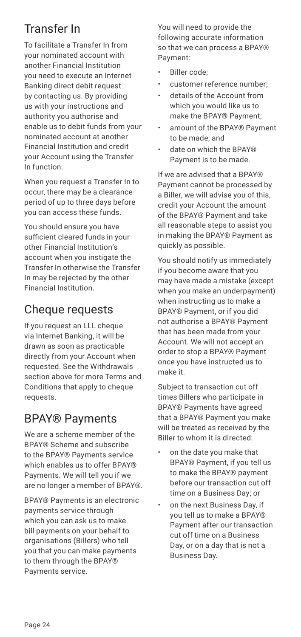# Transfer In

To facilitate a Transfer In from your nominated account with another Financial Institution you need to execute an Internet Banking direct debit request by contacting us. By providing us with your instructions and authority you authorise and enable us to debit funds from your nominated account at another Financial Institution and credit your Account using the Transfer In function.

When you request a Transfer In to occur, there may be a clearance period of up to three days before you can access these funds.

You should ensure you have sufficient cleared funds in your other Financial Institution's account when you instigate the Transfer In otherwise the Transfer In may be rejected by the other Financial Institution.

# Cheque requests

If you request an LLL cheque via Internet Banking, it will be drawn as soon as practicable directly from your Account when requested. See the Withdrawals section above for more Terms and Conditions that apply to cheque requests.

# BPAY® Payments

We are a scheme member of the BPAY® Scheme and subscribe to the BPAY® Payments service which enables us to offer BPAY® Payments. We will tell you if we are no longer a member of BPAY®.

BPAY® Payments is an electronic payments service through which you can ask us to make bill payments on your behalf to organisations (Billers) who tell you that you can make payments to them through the BPAY® Payments service.

You will need to provide the following accurate information so that we can process a BPAY® Payment:

- Biller code:
- customer reference number;
- details of the Account from which you would like us to make the BPAY® Payment;
- amount of the BPAY® Payment to be made; and
- date on which the BPAY® Payment is to be made.

If we are advised that a BPAY® Payment cannot be processed by a Biller, we will advise you of this, credit your Account the amount of the BPAY® Payment and take all reasonable steps to assist you in making the BPAY® Payment as quickly as possible.

You should notify us immediately if you become aware that you may have made a mistake (except when you make an underpayment) when instructing us to make a BPAY® Payment, or if you did not authorise a BPAY® Payment that has been made from your Account. We will not accept an order to stop a BPAY® Payment once you have instructed us to make it.

Subject to transaction cut off times Billers who participate in BPAY® Payments have agreed that a BPAY® Payment you make will be treated as received by the Biller to whom it is directed:

- on the date you make that BPAY® Payment, if you tell us to make the BPAY® payment before our transaction cut off time on a Business Day; or
- on the next Business Day, if you tell us to make a BPAY® Payment after our transaction cut off time on a Business Day, or on a day that is not a Business Day.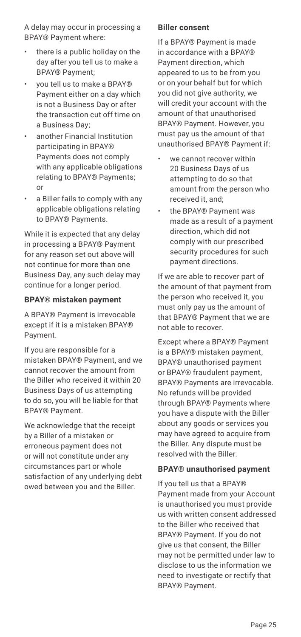A delay may occur in processing a BPAY® Payment where:

- there is a public holiday on the day after you tell us to make a BPAY® Payment;
- you tell us to make a BPAY® Payment either on a day which is not a Business Day or after the transaction cut off time on a Business Day;
- another Financial Institution participating in BPAY® Payments does not comply with any applicable obligations relating to BPAY® Payments; or
- a Biller fails to comply with any applicable obligations relating to BPAY® Payments.

While it is expected that any delay in processing a BPAY® Payment for any reason set out above will not continue for more than one Business Day, any such delay may continue for a longer period.

#### **BPAY® mistaken payment**

A BPAY® Payment is irrevocable except if it is a mistaken BPAY® Payment.

If you are responsible for a mistaken BPAY® Payment, and we cannot recover the amount from the Biller who received it within 20 Business Days of us attempting to do so, you will be liable for that BPAY® Payment.

We acknowledge that the receipt by a Biller of a mistaken or erroneous payment does not or will not constitute under any circumstances part or whole satisfaction of any underlying debt owed between you and the Biller.

#### **Biller consent**

If a BPAY® Payment is made in accordance with a BPAY® Payment direction, which appeared to us to be from you or on your behalf but for which you did not give authority, we will credit your account with the amount of that unauthorised BPAY® Payment. However, you must pay us the amount of that unauthorised BPAY® Payment if:

- we cannot recover within 20 Business Days of us attempting to do so that amount from the person who received it, and;
- the BPAY® Payment was made as a result of a payment direction, which did not comply with our prescribed security procedures for such payment directions.

If we are able to recover part of the amount of that payment from the person who received it, you must only pay us the amount of that BPAY® Payment that we are not able to recover.

Except where a BPAY® Payment is a BPAY® mistaken payment, BPAY® unauthorised payment or BPAY® fraudulent payment, BPAY® Payments are irrevocable. No refunds will be provided through BPAY® Payments where you have a dispute with the Biller about any goods or services you may have agreed to acquire from the Biller. Any dispute must be resolved with the Biller.

#### **BPAY® unauthorised payment**

If you tell us that a BPAY® Payment made from your Account is unauthorised you must provide us with written consent addressed to the Biller who received that BPAY® Payment. If you do not give us that consent, the Biller may not be permitted under law to disclose to us the information we need to investigate or rectify that BPAY® Payment.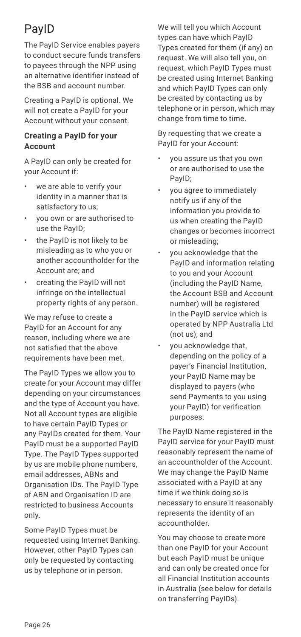# PayID

The PayID Service enables payers to conduct secure funds transfers to payees through the NPP using an alternative identifier instead of the BSB and account number.

Creating a PayID is optional. We will not create a PayID for your Account without your consent.

#### **Creating a PayID for your Account**

A PayID can only be created for your Account if:

- we are able to verify your identity in a manner that is satisfactory to us;
- you own or are authorised to use the PayID;
- the PayID is not likely to be misleading as to who you or another accountholder for the Account are; and
- creating the PayID will not infringe on the intellectual property rights of any person.

We may refuse to create a PayID for an Account for any reason, including where we are not satisfied that the above requirements have been met.

The PayID Types we allow you to create for your Account may differ depending on your circumstances and the type of Account you have. Not all Account types are eligible to have certain PayID Types or any PayIDs created for them. Your PayID must be a supported PayID Type. The PayID Types supported by us are mobile phone numbers, email addresses, ABNs and Organisation IDs. The PayID Type of ABN and Organisation ID are restricted to business Accounts only.

Some PayID Types must be requested using Internet Banking. However, other PayID Types can only be requested by contacting us by telephone or in person.

We will tell you which Account types can have which PayID Types created for them (if any) on request. We will also tell you, on request, which PayID Types must be created using Internet Banking and which PayID Types can only be created by contacting us by telephone or in person, which may change from time to time.

By requesting that we create a PayID for your Account:

- you assure us that you own or are authorised to use the PayID;
- you agree to immediately notify us if any of the information you provide to us when creating the PayID changes or becomes incorrect or misleading;
- you acknowledge that the PayID and information relating to you and your Account (including the PayID Name, the Account BSB and Account number) will be registered in the PayID service which is operated by NPP Australia Ltd (not us); and
- you acknowledge that, depending on the policy of a payer's Financial Institution, your PayID Name may be displayed to payers (who send Payments to you using your PayID) for verification purposes.

The PayID Name registered in the PayID service for your PayID must reasonably represent the name of an accountholder of the Account. We may change the PayID Name associated with a PayID at any time if we think doing so is necessary to ensure it reasonably represents the identity of an accountholder.

You may choose to create more than one PayID for your Account but each PayID must be unique and can only be created once for all Financial Institution accounts in Australia (see below for details on transferring PayIDs).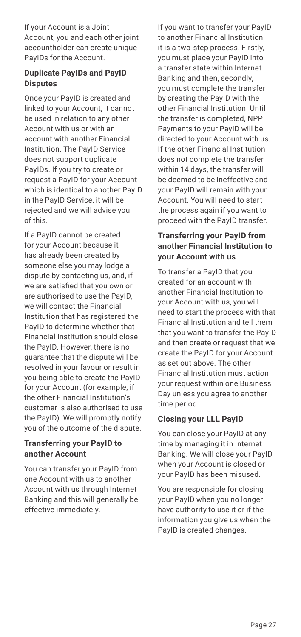If your Account is a Joint Account, you and each other joint accountholder can create unique PayIDs for the Account.

#### **Duplicate PayIDs and PayID Disputes**

Once your PayID is created and linked to your Account, it cannot be used in relation to any other Account with us or with an account with another Financial Institution. The PayID Service does not support duplicate PayIDs. If you try to create or request a PayID for your Account which is identical to another PayID in the PayID Service, it will be rejected and we will advise you of this.

If a PayID cannot be created for your Account because it has already been created by someone else you may lodge a dispute by contacting us, and, if we are satisfied that you own or are authorised to use the PayID, we will contact the Financial Institution that has registered the PayID to determine whether that Financial Institution should close the PayID. However, there is no guarantee that the dispute will be resolved in your favour or result in you being able to create the PayID for your Account (for example, if the other Financial Institution's customer is also authorised to use the PayID). We will promptly notify you of the outcome of the dispute.

#### **Transferring your PayID to another Account**

You can transfer your PayID from one Account with us to another Account with us through Internet Banking and this will generally be effective immediately.

If you want to transfer your PayID to another Financial Institution it is a two-step process. Firstly, you must place your PayID into a transfer state within Internet Banking and then, secondly, you must complete the transfer by creating the PayID with the other Financial Institution. Until the transfer is completed, NPP Payments to your PayID will be directed to your Account with us. If the other Financial Institution does not complete the transfer within 14 days, the transfer will be deemed to be ineffective and your PayID will remain with your Account. You will need to start the process again if you want to proceed with the PayID transfer.

#### **Transferring your PayID from another Financial Institution to your Account with us**

To transfer a PayID that you created for an account with another Financial Institution to your Account with us, you will need to start the process with that Financial Institution and tell them that you want to transfer the PayID and then create or request that we create the PayID for your Account as set out above. The other Financial Institution must action your request within one Business Day unless you agree to another time period.

#### **Closing your LLL PayID**

You can close your PayID at any time by managing it in Internet Banking. We will close your PayID when your Account is closed or your PayID has been misused.

You are responsible for closing your PayID when you no longer have authority to use it or if the information you give us when the PayID is created changes.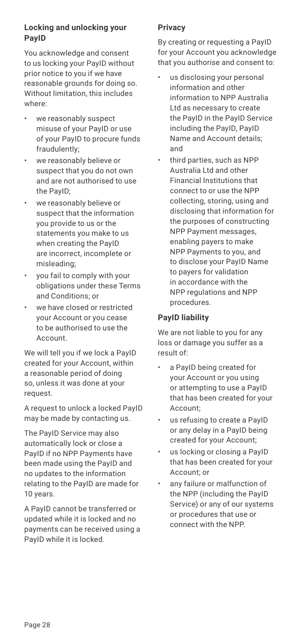#### **Locking and unlocking your PayID**

You acknowledge and consent to us locking your PayID without prior notice to you if we have reasonable grounds for doing so. Without limitation, this includes where:

- we reasonably suspect misuse of your PayID or use of your PayID to procure funds fraudulently;
- we reasonably believe or suspect that you do not own and are not authorised to use the PayID;
- we reasonably believe or suspect that the information you provide to us or the statements you make to us when creating the PayID are incorrect, incomplete or misleading;
- you fail to comply with your obligations under these Terms and Conditions; or
- we have closed or restricted your Account or you cease to be authorised to use the Account.

We will tell you if we lock a PayID created for your Account, within a reasonable period of doing so, unless it was done at your request.

A request to unlock a locked PayID may be made by contacting us.

The PayID Service may also automatically lock or close a PayID if no NPP Payments have been made using the PayID and no updates to the information relating to the PayID are made for 10 years.

A PayID cannot be transferred or updated while it is locked and no payments can be received using a PayID while it is locked.

#### **Privacy**

By creating or requesting a PayID for your Account you acknowledge that you authorise and consent to:

- us disclosing your personal information and other information to NPP Australia Ltd as necessary to create the PayID in the PayID Service including the PayID, PayID Name and Account details; and
- third parties, such as NPP Australia Ltd and other Financial Institutions that connect to or use the NPP collecting, storing, using and disclosing that information for the purposes of constructing NPP Payment messages, enabling payers to make NPP Payments to you, and to disclose your PayID Name to payers for validation in accordance with the NPP regulations and NPP procedures.

#### **PayID liability**

We are not liable to you for any loss or damage you suffer as a result of:

- a PayID being created for your Account or you using or attempting to use a PayID that has been created for your Account;
- us refusing to create a PayID or any delay in a PayID being created for your Account;
- us locking or closing a PayID that has been created for your Account; or
- any failure or malfunction of the NPP (including the PayID Service) or any of our systems or procedures that use or connect with the NPP.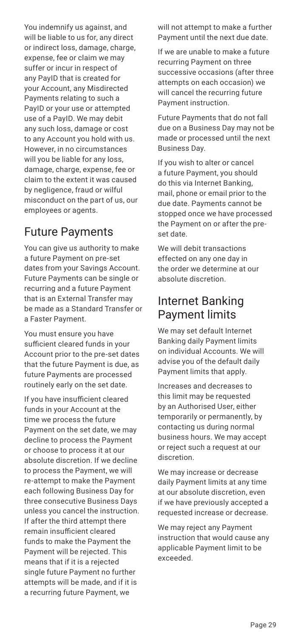You indemnify us against, and will be liable to us for, any direct or indirect loss, damage, charge, expense, fee or claim we may suffer or incur in respect of any PayID that is created for your Account, any Misdirected Payments relating to such a PayID or your use or attempted use of a PayID. We may debit any such loss, damage or cost to any Account you hold with us. However, in no circumstances will you be liable for any loss, damage, charge, expense, fee or claim to the extent it was caused by negligence, fraud or wilful misconduct on the part of us, our employees or agents.

# Future Payments

You can give us authority to make a future Payment on pre-set dates from your Savings Account. Future Payments can be single or recurring and a future Payment that is an External Transfer may be made as a Standard Transfer or a Faster Payment.

You must ensure you have sufficient cleared funds in your Account prior to the pre-set dates that the future Payment is due, as future Payments are processed routinely early on the set date.

If you have insufficient cleared funds in your Account at the time we process the future Payment on the set date, we may decline to process the Payment or choose to process it at our absolute discretion. If we decline to process the Payment, we will re-attempt to make the Payment each following Business Day for three consecutive Business Days unless you cancel the instruction. If after the third attempt there remain insufficient cleared funds to make the Payment the Payment will be rejected. This means that if it is a rejected single future Payment no further attempts will be made, and if it is a recurring future Payment, we

will not attempt to make a further Payment until the next due date.

If we are unable to make a future recurring Payment on three successive occasions (after three attempts on each occasion) we will cancel the recurring future Payment instruction.

Future Payments that do not fall due on a Business Day may not be made or processed until the next Business Day.

If you wish to alter or cancel a future Payment, you should do this via Internet Banking, mail, phone or email prior to the due date. Payments cannot be stopped once we have processed the Payment on or after the preset date.

We will debit transactions effected on any one day in the order we determine at our absolute discretion.

### Internet Banking Payment limits

We may set default Internet Banking daily Payment limits on individual Accounts. We will advise you of the default daily Payment limits that apply.

Increases and decreases to this limit may be requested by an Authorised User, either temporarily or permanently, by contacting us during normal business hours. We may accept or reject such a request at our discretion.

We may increase or decrease daily Payment limits at any time at our absolute discretion, even if we have previously accepted a requested increase or decrease.

We may reject any Payment instruction that would cause any applicable Payment limit to be exceeded.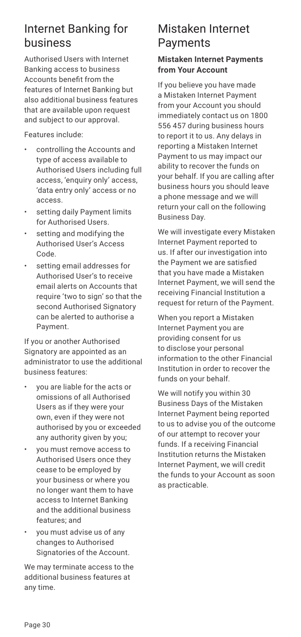### Internet Banking for business

Authorised Users with Internet Banking access to business Accounts benefit from the features of Internet Banking but also additional business features that are available upon request and subject to our approval.

Features include:

- controlling the Accounts and type of access available to Authorised Users including full access, 'enquiry only' access, 'data entry only' access or no access.
- setting daily Payment limits for Authorised Users.
- setting and modifying the Authorised User's Access Code.
- setting email addresses for Authorised User's to receive email alerts on Accounts that require 'two to sign' so that the second Authorised Signatory can be alerted to authorise a Payment.

If you or another Authorised Signatory are appointed as an administrator to use the additional business features:

- you are liable for the acts or omissions of all Authorised Users as if they were your own, even if they were not authorised by you or exceeded any authority given by you;
- you must remove access to Authorised Users once they cease to be employed by your business or where you no longer want them to have access to Internet Banking and the additional business features; and
- you must advise us of any changes to Authorised Signatories of the Account.

We may terminate access to the additional business features at any time.

### Mistaken Internet Payments

#### **Mistaken Internet Payments from Your Account**

If you believe you have made a Mistaken Internet Payment from your Account you should immediately contact us on 1800 556 457 during business hours to report it to us. Any delays in reporting a Mistaken Internet Payment to us may impact our ability to recover the funds on your behalf. If you are calling after business hours you should leave a phone message and we will return your call on the following Business Day.

We will investigate every Mistaken Internet Payment reported to us. If after our investigation into the Payment we are satisfied that you have made a Mistaken Internet Payment, we will send the receiving Financial Institution a request for return of the Payment.

When you report a Mistaken Internet Payment you are providing consent for us to disclose your personal information to the other Financial Institution in order to recover the funds on your behalf.

We will notify you within 30 Business Days of the Mistaken Internet Payment being reported to us to advise you of the outcome of our attempt to recover your funds. If a receiving Financial Institution returns the Mistaken Internet Payment, we will credit the funds to your Account as soon as practicable.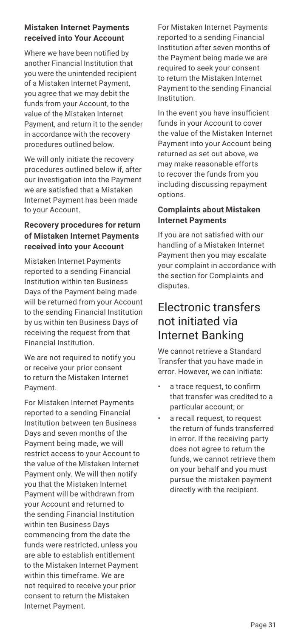#### **Mistaken Internet Payments received into Your Account**

Where we have been notified by another Financial Institution that you were the unintended recipient of a Mistaken Internet Payment, you agree that we may debit the funds from your Account, to the value of the Mistaken Internet Payment, and return it to the sender in accordance with the recovery procedures outlined below.

We will only initiate the recovery procedures outlined below if, after our investigation into the Payment we are satisfied that a Mistaken Internet Payment has been made to your Account.

#### **Recovery procedures for return of Mistaken Internet Payments received into your Account**

Mistaken Internet Payments reported to a sending Financial Institution within ten Business Days of the Payment being made will be returned from your Account to the sending Financial Institution by us within ten Business Days of receiving the request from that Financial Institution.

We are not required to notify you or receive your prior consent to return the Mistaken Internet Payment.

For Mistaken Internet Payments reported to a sending Financial Institution between ten Business Days and seven months of the Payment being made, we will restrict access to your Account to the value of the Mistaken Internet Payment only. We will then notify you that the Mistaken Internet Payment will be withdrawn from your Account and returned to the sending Financial Institution within ten Business Days commencing from the date the funds were restricted, unless you are able to establish entitlement to the Mistaken Internet Payment within this timeframe. We are not required to receive your prior consent to return the Mistaken Internet Payment.

For Mistaken Internet Payments reported to a sending Financial Institution after seven months of the Payment being made we are required to seek your consent to return the Mistaken Internet Payment to the sending Financial Institution.

In the event you have insufficient funds in your Account to cover the value of the Mistaken Internet Payment into your Account being returned as set out above, we may make reasonable efforts to recover the funds from you including discussing repayment options.

#### **Complaints about Mistaken Internet Payments**

If you are not satisfied with our handling of a Mistaken Internet Payment then you may escalate your complaint in accordance with the section for Complaints and disputes.

### Electronic transfers not initiated via Internet Banking

We cannot retrieve a Standard Transfer that you have made in error. However, we can initiate:

- a trace request, to confirm that transfer was credited to a particular account; or
- a recall request, to request the return of funds transferred in error. If the receiving party does not agree to return the funds, we cannot retrieve them on your behalf and you must pursue the mistaken payment directly with the recipient.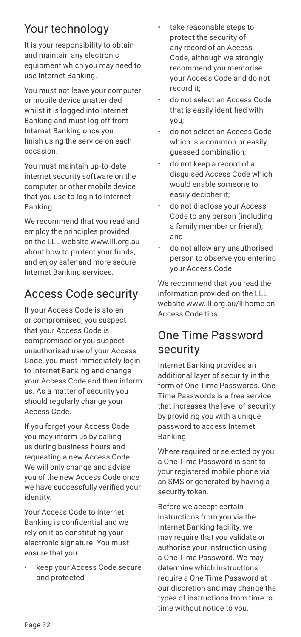# Your technology

It is your responsibility to obtain and maintain any electronic equipment which you may need to use Internet Banking.

You must not leave your computer or mobile device unattended whilst it is logged into Internet Banking and must log off from Internet Banking once you finish using the service on each occasion.

You must maintain up-to-date internet security software on the computer or other mobile device that you use to login to Internet Banking.

We recommend that you read and employ the principles provided on the LLL website www.lll.org.au about how to protect your funds, and enjoy safer and more secure Internet Banking services.

# Access Code security

If your Access Code is stolen or compromised, you suspect that your Access Code is compromised or you suspect unauthorised use of your Access Code, you must immediately login to Internet Banking and change your Access Code and then inform us. As a matter of security you should regularly change your Access Code.

If you forget your Access Code you may inform us by calling us during business hours and requesting a new Access Code. We will only change and advise you of the new Access Code once we have successfully verified your identity.

Your Access Code to Internet Banking is confidential and we rely on it as constituting your electronic signature. You must ensure that you:

• keep your Access Code secure and protected;

- take reasonable steps to protect the security of any record of an Access Code, although we strongly recommend you memorise your Access Code and do not record it;
- do not select an Access Code that is easily identified with you;
- do not select an Access Code which is a common or easily guessed combination;
- do not keep a record of a disguised Access Code which would enable someone to easily decipher it;
- do not disclose your Access Code to any person (including a family member or friend); and
- do not allow any unauthorised person to observe you entering your Access Code.

We recommend that you read the information provided on the LLL website www.lll.org.au/lllhome on Access Code tips.

# One Time Password security

Internet Banking provides an additional layer of security in the form of One Time Passwords. One Time Passwords is a free service that increases the level of security by providing you with a unique password to access Internet Banking.

Where required or selected by you a One Time Password is sent to your registered mobile phone via an SMS or generated by having a security token.

Before we accept certain instructions from you via the Internet Banking facility, we may require that you validate or authorise your instruction using a One Time Password. We may determine which instructions require a One Time Password at our discretion and may change the types of instructions from time to time without notice to you.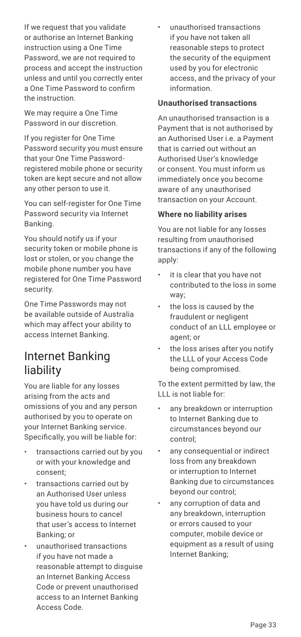If we request that you validate or authorise an Internet Banking instruction using a One Time Password, we are not required to process and accept the instruction unless and until you correctly enter a One Time Password to confirm the instruction.

We may require a One Time Password in our discretion.

If you register for One Time Password security you must ensure that your One Time Passwordregistered mobile phone or security token are kept secure and not allow any other person to use it.

You can self-register for One Time Password security via Internet Banking.

You should notify us if your security token or mobile phone is lost or stolen, or you change the mobile phone number you have registered for One Time Password security.

One Time Passwords may not be available outside of Australia which may affect your ability to access Internet Banking.

### Internet Banking liability

You are liable for any losses arising from the acts and omissions of you and any person authorised by you to operate on your Internet Banking service. Specifically, you will be liable for:

- transactions carried out by you or with your knowledge and consent;
- transactions carried out by an Authorised User unless you have told us during our business hours to cancel that user's access to Internet Banking; or
- unauthorised transactions if you have not made a reasonable attempt to disguise an Internet Banking Access Code or prevent unauthorised access to an Internet Banking Access Code.

• unauthorised transactions if you have not taken all reasonable steps to protect the security of the equipment used by you for electronic access, and the privacy of your information.

#### **Unauthorised transactions**

An unauthorised transaction is a Payment that is not authorised by an Authorised User i.e. a Payment that is carried out without an Authorised User's knowledge or consent. You must inform us immediately once you become aware of any unauthorised transaction on your Account.

#### **Where no liability arises**

You are not liable for any losses resulting from unauthorised transactions if any of the following apply:

- it is clear that you have not contributed to the loss in some way;
- the loss is caused by the fraudulent or negligent conduct of an LLL employee or agent; or
- the loss arises after you notify the LLL of your Access Code being compromised.

To the extent permitted by law, the LLL is not liable for:

- any breakdown or interruption to Internet Banking due to circumstances beyond our control;
- any consequential or indirect loss from any breakdown or interruption to Internet Banking due to circumstances beyond our control;
- any corruption of data and any breakdown, interruption or errors caused to your computer, mobile device or equipment as a result of using Internet Banking;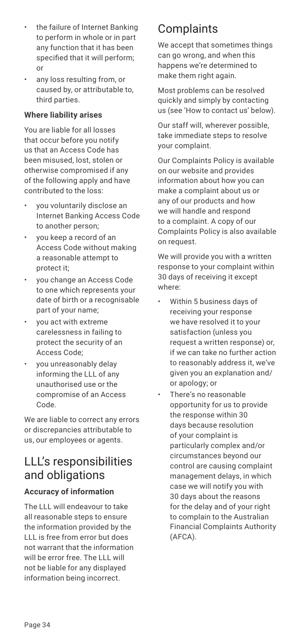- the failure of Internet Banking to perform in whole or in part any function that it has been specified that it will perform; or
- any loss resulting from, or caused by, or attributable to, third parties.

#### **Where liability arises**

You are liable for all losses that occur before you notify us that an Access Code has been misused, lost, stolen or otherwise compromised if any of the following apply and have contributed to the loss:

- you voluntarily disclose an Internet Banking Access Code to another person;
- you keep a record of an Access Code without making a reasonable attempt to protect it;
- you change an Access Code to one which represents your date of birth or a recognisable part of your name;
- you act with extreme carelessness in failing to protect the security of an Access Code;
- you unreasonably delay informing the LLL of any unauthorised use or the compromise of an Access Code.

We are liable to correct any errors or discrepancies attributable to us, our employees or agents.

### LLL's responsibilities and obligations

#### **Accuracy of information**

The LLL will endeavour to take all reasonable steps to ensure the information provided by the LLL is free from error but does not warrant that the information will be error free. The LLL will not be liable for any displayed information being incorrect.

# **Complaints**

We accept that sometimes things can go wrong, and when this happens we're determined to make them right again.

Most problems can be resolved quickly and simply by contacting us (see 'How to contact us' below).

Our staff will, wherever possible, take immediate steps to resolve your complaint.

Our Complaints Policy is available on our website and provides information about how you can make a complaint about us or any of our products and how we will handle and respond to a complaint. A copy of our Complaints Policy is also available on request.

We will provide you with a written response to your complaint within 30 days of receiving it except where:

- Within 5 business days of receiving your response we have resolved it to your satisfaction (unless you request a written response) or, if we can take no further action to reasonably address it, we've given you an explanation and/ or apology; or
- There's no reasonable opportunity for us to provide the response within 30 days because resolution of your complaint is particularly complex and/or circumstances beyond our control are causing complaint management delays, in which case we will notify you with 30 days about the reasons for the delay and of your right to complain to the Australian Financial Complaints Authority (AFCA).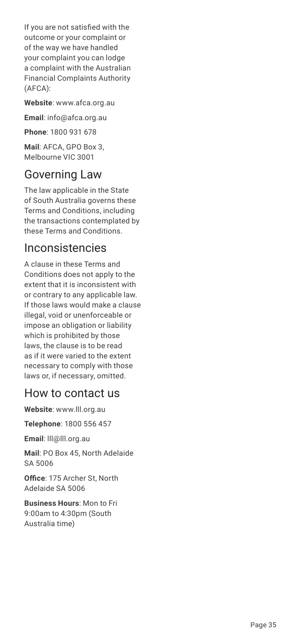If you are not satisfied with the outcome or your complaint or of the way we have handled your complaint you can lodge a complaint with the Australian Financial Complaints Authority (AFCA):

**Website**: www.afca.org.au

**Email**: info@afca.org.au

**Phone**: 1800 931 678

**Mail**: AFCA, GPO Box 3, Melbourne VIC 3001

### Governing Law

The law applicable in the State of South Australia governs these Terms and Conditions, including the transactions contemplated by these Terms and Conditions.

### Inconsistencies

A clause in these Terms and Conditions does not apply to the extent that it is inconsistent with or contrary to any applicable law. If those laws would make a clause illegal, void or unenforceable or impose an obligation or liability which is prohibited by those laws, the clause is to be read as if it were varied to the extent necessary to comply with those laws or, if necessary, omitted.

### How to contact us

**Website**: www.lll.org.au

**Telephone**: 1800 556 457

**Email**: lll@lll.org.au

**Mail**: PO Box 45, North Adelaide SA 5006

**Office**: 175 Archer St, North Adelaide SA 5006

**Business Hours**: Mon to Fri 9:00am to 4:30pm (South Australia time)